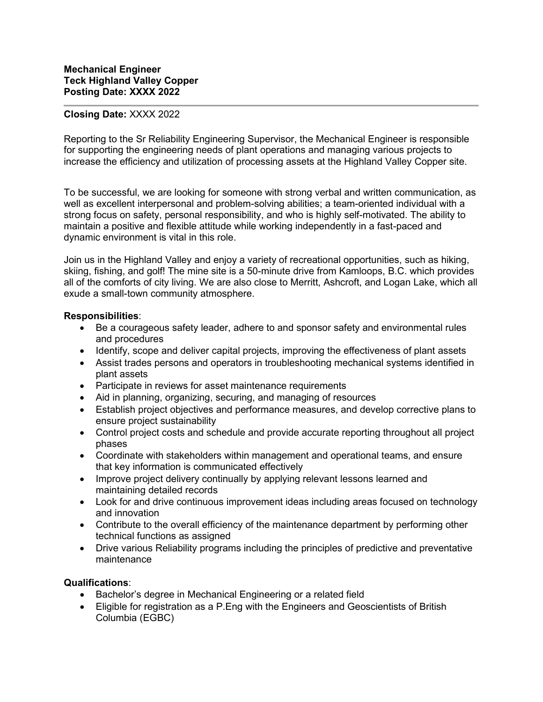## **Closing Date:** XXXX 2022

Reporting to the Sr Reliability Engineering Supervisor, the Mechanical Engineer is responsible for supporting the engineering needs of plant operations and managing various projects to increase the efficiency and utilization of processing assets at the Highland Valley Copper site.

To be successful, we are looking for someone with strong verbal and written communication, as well as excellent interpersonal and problem-solving abilities; a team-oriented individual with a strong focus on safety, personal responsibility, and who is highly self-motivated. The ability to maintain a positive and flexible attitude while working independently in a fast-paced and dynamic environment is vital in this role.

Join us in the Highland Valley and enjoy a variety of recreational opportunities, such as hiking, skiing, fishing, and golf! The mine site is a 50-minute drive from Kamloops, B.C. which provides all of the comforts of city living. We are also close to Merritt, Ashcroft, and Logan Lake, which all exude a small-town community atmosphere.

## **Responsibilities**:

- Be a courageous safety leader, adhere to and sponsor safety and environmental rules and procedures
- Identify, scope and deliver capital projects, improving the effectiveness of plant assets
- Assist trades persons and operators in troubleshooting mechanical systems identified in plant assets
- Participate in reviews for asset maintenance requirements
- Aid in planning, organizing, securing, and managing of resources
- Establish project objectives and performance measures, and develop corrective plans to ensure project sustainability
- Control project costs and schedule and provide accurate reporting throughout all project phases
- Coordinate with stakeholders within management and operational teams, and ensure that key information is communicated effectively
- Improve project delivery continually by applying relevant lessons learned and maintaining detailed records
- Look for and drive continuous improvement ideas including areas focused on technology and innovation
- Contribute to the overall efficiency of the maintenance department by performing other technical functions as assigned
- Drive various Reliability programs including the principles of predictive and preventative maintenance

## **Qualifications**:

- Bachelor's degree in Mechanical Engineering or a related field
- Eligible for registration as a P.Eng with the Engineers and Geoscientists of British Columbia (EGBC)